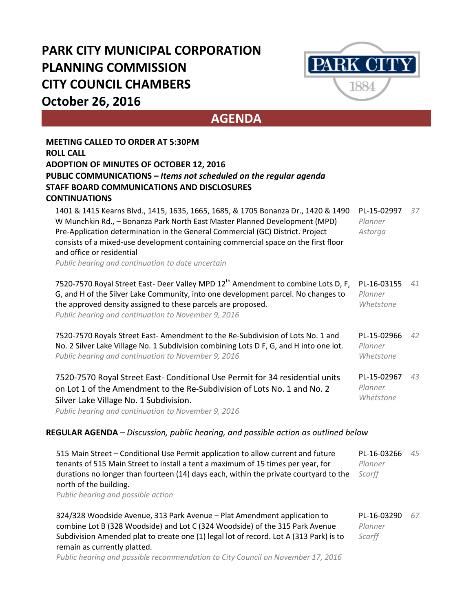## **PARK CITY MUNICIPAL CORPORATION PLANNING COMMISSION CITY COUNCIL CHAMBERS October 26, 2016**



**AGENDA**

| <b>MEETING CALLED TO ORDER AT 5:30PM</b>                                                                                                                                                                                                                                                                                                                                                                                  |                                     |    |
|---------------------------------------------------------------------------------------------------------------------------------------------------------------------------------------------------------------------------------------------------------------------------------------------------------------------------------------------------------------------------------------------------------------------------|-------------------------------------|----|
| <b>ROLL CALL</b>                                                                                                                                                                                                                                                                                                                                                                                                          |                                     |    |
| <b>ADOPTION OF MINUTES OF OCTOBER 12, 2016</b><br>PUBLIC COMMUNICATIONS - Items not scheduled on the regular agenda                                                                                                                                                                                                                                                                                                       |                                     |    |
| <b>STAFF BOARD COMMUNICATIONS AND DISCLOSURES</b>                                                                                                                                                                                                                                                                                                                                                                         |                                     |    |
| <b>CONTINUATIONS</b>                                                                                                                                                                                                                                                                                                                                                                                                      |                                     |    |
| 1401 & 1415 Kearns Blvd., 1415, 1635, 1665, 1685, & 1705 Bonanza Dr., 1420 & 1490<br>W Munchkin Rd., - Bonanza Park North East Master Planned Development (MPD)<br>Pre-Application determination in the General Commercial (GC) District. Project<br>consists of a mixed-use development containing commercial space on the first floor<br>and office or residential<br>Public hearing and continuation to date uncertain | PL-15-02997<br>Planner<br>Astorga   | 37 |
| 7520-7570 Royal Street East- Deer Valley MPD 12 <sup>th</sup> Amendment to combine Lots D, F,<br>G, and H of the Silver Lake Community, into one development parcel. No changes to<br>the approved density assigned to these parcels are proposed.<br>Public hearing and continuation to November 9, 2016                                                                                                                 | PL-16-03155<br>Planner<br>Whetstone | 41 |
| 7520-7570 Royals Street East-Amendment to the Re-Subdivision of Lots No. 1 and<br>No. 2 Silver Lake Village No. 1 Subdivision combining Lots D F, G, and H into one lot.<br>Public hearing and continuation to November 9, 2016                                                                                                                                                                                           | PL-15-02966<br>Planner<br>Whetstone | 42 |
| 7520-7570 Royal Street East- Conditional Use Permit for 34 residential units<br>on Lot 1 of the Amendment to the Re-Subdivision of Lots No. 1 and No. 2<br>Silver Lake Village No. 1 Subdivision.<br>Public hearing and continuation to November 9, 2016                                                                                                                                                                  | PL-15-02967<br>Planner<br>Whetstone | 43 |
| <b>REGULAR AGENDA</b> – Discussion, public hearing, and possible action as outlined below                                                                                                                                                                                                                                                                                                                                 |                                     |    |
| 515 Main Street - Conditional Use Permit application to allow current and future<br>tenants of 515 Main Street to install a tent a maximum of 15 times per year, for<br>durations no longer than fourteen (14) days each, within the private courtyard to the<br>north of the building.<br>Public hearing and possible action                                                                                             | PL-16-03266<br>Planner<br>Scarff    | 45 |
| 324/328 Woodside Avenue, 313 Park Avenue - Plat Amendment application to<br>combine Lot B (328 Woodside) and Lot C (324 Woodside) of the 315 Park Avenue<br>Subdivision Amended plat to create one (1) legal lot of record. Lot A (313 Park) is to<br>remain as currently platted.                                                                                                                                        | PL-16-03290<br>Planner<br>Scarff    | 67 |

*Public hearing and possible recommendation to City Council on November 17, 2016*